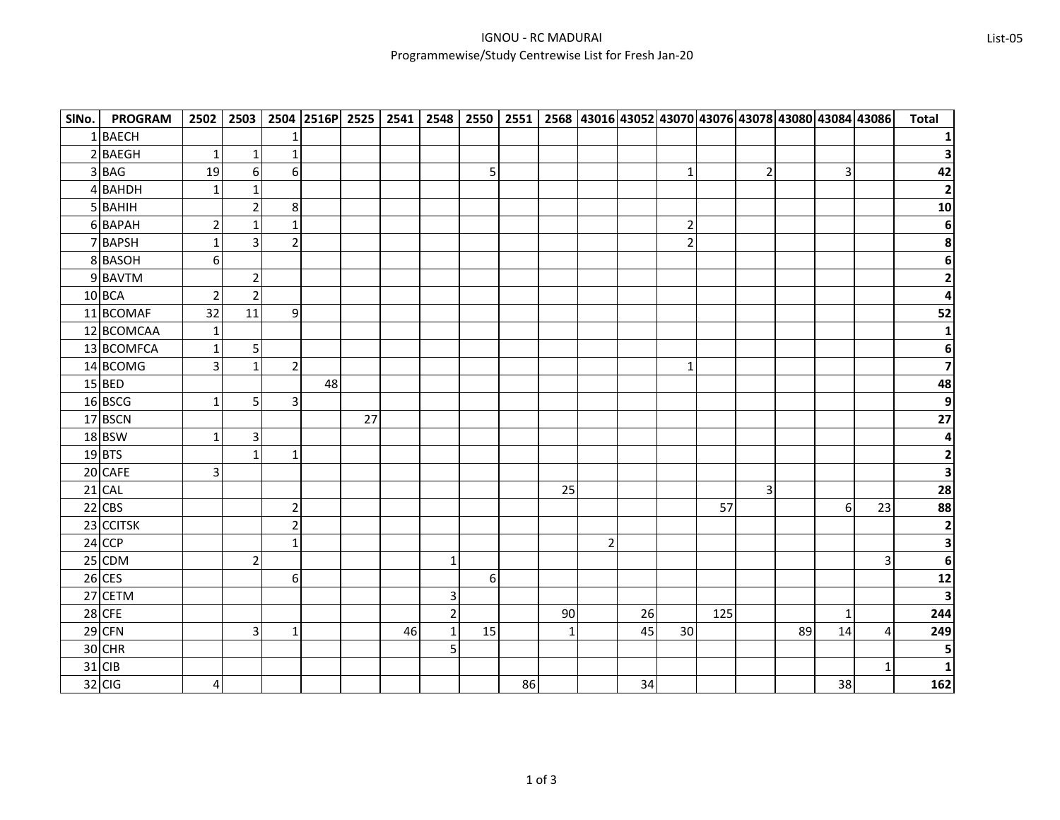| SINo.          | <b>PROGRAM</b> | 2502                    | 2503           |                         | 2504 2516P 2525 2541 |    |    | 2548           | 2550           |    |              |                |    |                 |     |                         |    |                | 2551 2568 43016 43052 43070 43076 43078 43080 43084 43086 | <b>Total</b>    |
|----------------|----------------|-------------------------|----------------|-------------------------|----------------------|----|----|----------------|----------------|----|--------------|----------------|----|-----------------|-----|-------------------------|----|----------------|-----------------------------------------------------------|-----------------|
|                | 1BAECH         |                         |                | 1                       |                      |    |    |                |                |    |              |                |    |                 |     |                         |    |                |                                                           |                 |
| $\overline{2}$ | <b>BAEGH</b>   | $\mathbf{1}$            | $\mathbf{1}$   | $\mathbf 1$             |                      |    |    |                |                |    |              |                |    |                 |     |                         |    |                |                                                           |                 |
|                | 3BAG           | 19                      | 6              | 6                       |                      |    |    |                | 5 <sup>1</sup> |    |              |                |    | $\mathbf{1}$    |     | 2                       |    | $\overline{3}$ |                                                           | 42              |
|                | 4BAHDH         | 1                       | $\mathbf{1}$   |                         |                      |    |    |                |                |    |              |                |    |                 |     |                         |    |                |                                                           | $\overline{2}$  |
|                | 5 BAHIH        |                         | $\overline{2}$ | 8                       |                      |    |    |                |                |    |              |                |    |                 |     |                         |    |                |                                                           | 10              |
|                | 6 BAPAH        | $\overline{2}$          | $\mathbf{1}$   | $\mathbf{1}$            |                      |    |    |                |                |    |              |                |    | $\overline{2}$  |     |                         |    |                |                                                           | $\bf 6$         |
|                | 7BAPSH         | $\mathbf{1}$            | 3              | $\overline{2}$          |                      |    |    |                |                |    |              |                |    | $\overline{2}$  |     |                         |    |                |                                                           | 8               |
|                | 8BASOH         | 6                       |                |                         |                      |    |    |                |                |    |              |                |    |                 |     |                         |    |                |                                                           | $\bf 6$         |
|                | 9 BAVTM        |                         | $\overline{2}$ |                         |                      |    |    |                |                |    |              |                |    |                 |     |                         |    |                |                                                           | $\mathbf{2}$    |
|                | 10 BCA         | $\overline{2}$          | $\overline{2}$ |                         |                      |    |    |                |                |    |              |                |    |                 |     |                         |    |                |                                                           | 4               |
|                | 11 BCOMAF      | 32                      | 11             | 9                       |                      |    |    |                |                |    |              |                |    |                 |     |                         |    |                |                                                           | 52              |
|                | 12 BCOMCAA     | $\mathbf 1$             |                |                         |                      |    |    |                |                |    |              |                |    |                 |     |                         |    |                |                                                           |                 |
|                | 13 BCOMFCA     | $\mathbf{1}$            | 5 <sub>l</sub> |                         |                      |    |    |                |                |    |              |                |    |                 |     |                         |    |                |                                                           | 6               |
|                | 14 BCOMG       | $\overline{3}$          | $\mathbf{1}$   | $\overline{2}$          |                      |    |    |                |                |    |              |                |    | $1\overline{ }$ |     |                         |    |                |                                                           | $\overline{ }$  |
|                | $15$ BED       |                         |                |                         | 48                   |    |    |                |                |    |              |                |    |                 |     |                         |    |                |                                                           | 48              |
|                | 16 BSCG        | $\mathbf{1}$            | 5              | 3                       |                      |    |    |                |                |    |              |                |    |                 |     |                         |    |                |                                                           | $\overline{9}$  |
|                | 17 BSCN        |                         |                |                         |                      | 27 |    |                |                |    |              |                |    |                 |     |                         |    |                |                                                           | $\overline{27}$ |
|                | 18 BSW         | $\mathbf{1}$            | $\overline{3}$ |                         |                      |    |    |                |                |    |              |                |    |                 |     |                         |    |                |                                                           | 4               |
|                | 19BTS          |                         | $\mathbf{1}$   | $\mathbf 1$             |                      |    |    |                |                |    |              |                |    |                 |     |                         |    |                |                                                           | $\mathbf{2}$    |
|                | 20 CAFE        | $\overline{3}$          |                |                         |                      |    |    |                |                |    |              |                |    |                 |     |                         |    |                |                                                           | 3               |
|                | 21 CAL         |                         |                |                         |                      |    |    |                |                |    | 25           |                |    |                 |     | $\overline{\mathbf{3}}$ |    |                |                                                           | 28              |
|                | $22$ CBS       |                         |                | $\overline{2}$          |                      |    |    |                |                |    |              |                |    |                 | 57  |                         |    | 6              | 23                                                        | 88              |
|                | 23 CCITSK      |                         |                | $\overline{\mathbf{c}}$ |                      |    |    |                |                |    |              |                |    |                 |     |                         |    |                |                                                           | $\mathbf{2}$    |
|                | $24$ CCP       |                         |                | $\mathbf 1$             |                      |    |    |                |                |    |              | $\overline{2}$ |    |                 |     |                         |    |                |                                                           | 3               |
|                | 25 CDM         |                         | $\overline{2}$ |                         |                      |    |    | $\mathbf{1}$   |                |    |              |                |    |                 |     |                         |    |                | $\overline{3}$                                            | 6               |
|                | $26$ CES       |                         |                | 6                       |                      |    |    |                | $6 \mid$       |    |              |                |    |                 |     |                         |    |                |                                                           | $12$            |
|                | 27 CETM        |                         |                |                         |                      |    |    | 3              |                |    |              |                |    |                 |     |                         |    |                |                                                           | 3               |
|                | $28$ CFE       |                         |                |                         |                      |    |    | $\overline{2}$ |                |    | 90           |                | 26 |                 | 125 |                         |    | $\mathbf{1}$   |                                                           | 244             |
|                | 29 CFN         |                         | $\overline{3}$ | $\mathbf 1$             |                      |    | 46 | $\mathbf 1$    | 15             |    | $\mathbf{1}$ |                | 45 | 30              |     |                         | 89 | 14             | 4                                                         | 249             |
|                | 30 CHR         |                         |                |                         |                      |    |    | 5              |                |    |              |                |    |                 |     |                         |    |                |                                                           | 5               |
|                | 31 CIB         |                         |                |                         |                      |    |    |                |                |    |              |                |    |                 |     |                         |    |                |                                                           | $\mathbf{1}$    |
|                | $32$ CIG       | $\overline{\mathbf{r}}$ |                |                         |                      |    |    |                |                | 86 |              |                | 34 |                 |     |                         |    | 38             |                                                           | 162             |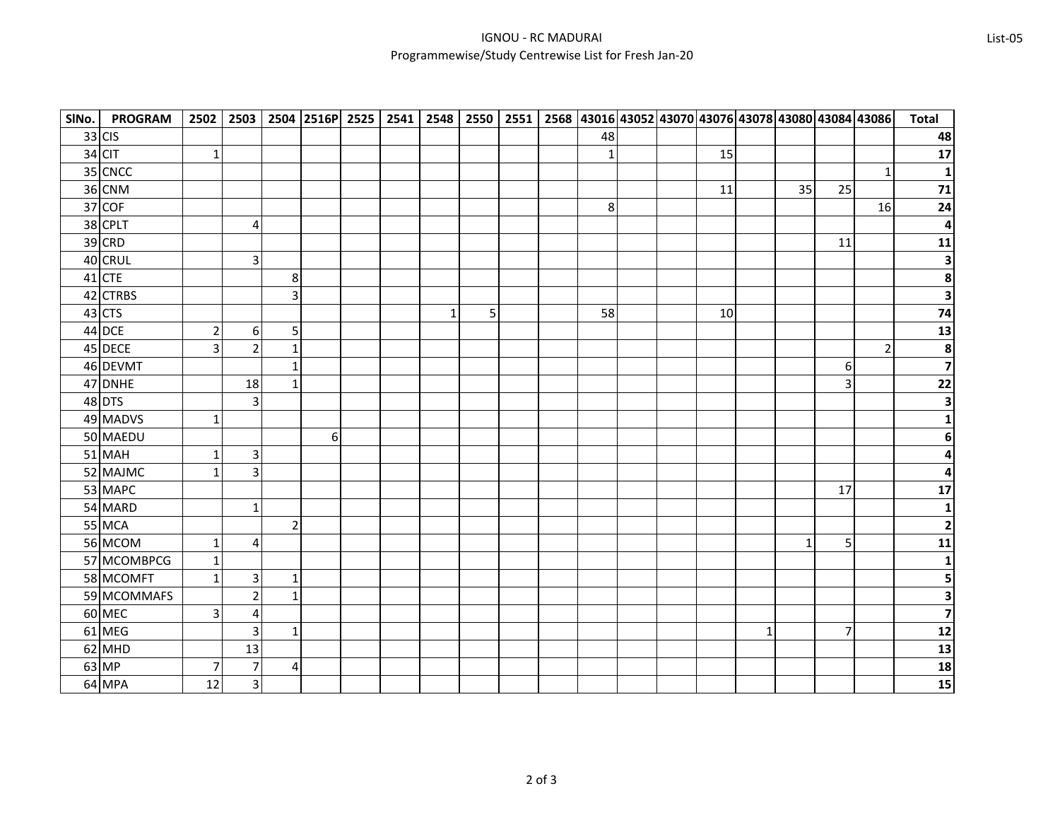| SINo. | <b>PROGRAM</b> |                         |                         |                |          |  |              |   |  |                |  |    |              |          |                | 2502 2503 2504 2516P 2525 2541 2548 2550 2551 2568 43016 43052 43070 43076 43078 43080 43084 43086 | <b>Total</b>             |
|-------|----------------|-------------------------|-------------------------|----------------|----------|--|--------------|---|--|----------------|--|----|--------------|----------|----------------|----------------------------------------------------------------------------------------------------|--------------------------|
|       | 33 CIS         |                         |                         |                |          |  |              |   |  | 48             |  |    |              |          |                |                                                                                                    | 48                       |
|       | 34 CIT         | $\mathbf{1}$            |                         |                |          |  |              |   |  | 1              |  | 15 |              |          |                |                                                                                                    | 17                       |
|       | 35 CNCC        |                         |                         |                |          |  |              |   |  |                |  |    |              |          |                |                                                                                                    |                          |
|       | 36 CNM         |                         |                         |                |          |  |              |   |  |                |  | 11 |              | 35       | 25             |                                                                                                    | $\overline{71}$          |
|       | 37 COF         |                         |                         |                |          |  |              |   |  | 8 <sup>1</sup> |  |    |              |          |                | 16                                                                                                 | 24                       |
|       | 38 CPLT        |                         | 4                       |                |          |  |              |   |  |                |  |    |              |          |                |                                                                                                    | 4                        |
|       | 39 CRD         |                         |                         |                |          |  |              |   |  |                |  |    |              |          | 11             |                                                                                                    | 11                       |
|       | 40 CRUL        |                         | 3                       |                |          |  |              |   |  |                |  |    |              |          |                |                                                                                                    | $\mathbf{3}$             |
|       | 41 CTE         |                         |                         | $\bf 8$        |          |  |              |   |  |                |  |    |              |          |                |                                                                                                    | $\boldsymbol{8}$         |
|       | 42 CTRBS       |                         |                         | 3              |          |  |              |   |  |                |  |    |              |          |                |                                                                                                    | $\mathbf{3}$             |
|       | $43$ CTS       |                         |                         |                |          |  | $\mathbf{1}$ | 5 |  | 58             |  | 10 |              |          |                |                                                                                                    | 74                       |
|       | 44 DCE         | $\mathbf 2$             | $6 \overline{6}$        | $\mathsf S$    |          |  |              |   |  |                |  |    |              |          |                |                                                                                                    | $\overline{\mathbf{13}}$ |
|       | 45 DECE        | $\overline{\mathbf{3}}$ | $\overline{2}$          | $\mathbf{1}$   |          |  |              |   |  |                |  |    |              |          |                | $\overline{2}$                                                                                     | 8                        |
|       | 46 DEVMT       |                         |                         | $\mathbf{1}$   |          |  |              |   |  |                |  |    |              |          | 6              |                                                                                                    | $\overline{\mathbf{z}}$  |
|       | 47 DNHE        |                         | 18                      | $\mathbf{1}$   |          |  |              |   |  |                |  |    |              |          | 3              |                                                                                                    | $\overline{22}$          |
|       | 48 DTS         |                         | 3                       |                |          |  |              |   |  |                |  |    |              |          |                |                                                                                                    | 3                        |
|       | 49 MADVS       | $\mathbf{1}$            |                         |                |          |  |              |   |  |                |  |    |              |          |                |                                                                                                    |                          |
|       | 50 MAEDU       |                         |                         |                | $6 \mid$ |  |              |   |  |                |  |    |              |          |                |                                                                                                    | 6 <sup>1</sup>           |
|       | 51 MAH         | $\mathbf 1$             | $\overline{3}$          |                |          |  |              |   |  |                |  |    |              |          |                |                                                                                                    |                          |
|       | 52 MAJMC       | $\mathbf{1}$            | $\overline{3}$          |                |          |  |              |   |  |                |  |    |              |          |                |                                                                                                    |                          |
|       | 53 MAPC        |                         |                         |                |          |  |              |   |  |                |  |    |              |          | 17             |                                                                                                    | $17\,$                   |
|       | 54 MARD        |                         | $\mathbf{1}$            |                |          |  |              |   |  |                |  |    |              |          |                |                                                                                                    |                          |
|       | 55 MCA         |                         |                         | $\overline{2}$ |          |  |              |   |  |                |  |    |              |          |                |                                                                                                    | $\mathbf{2}$             |
|       | 56 MCOM        | $\mathbf{1}$            | $\overline{\mathbf{4}}$ |                |          |  |              |   |  |                |  |    |              | $1\vert$ | 5              |                                                                                                    | 11                       |
|       | 57 MCOMBPCG    | $\mathbf{1}$            |                         |                |          |  |              |   |  |                |  |    |              |          |                |                                                                                                    | 1                        |
|       | 58 MCOMFT      | $\mathbf{1}$            | $\overline{3}$          | $\mathbf{1}$   |          |  |              |   |  |                |  |    |              |          |                |                                                                                                    | 5                        |
|       | 59 MCOMMAFS    |                         | $\overline{2}$          | $\mathbf{1}$   |          |  |              |   |  |                |  |    |              |          |                |                                                                                                    | 3                        |
|       | 60 MEC         | $\overline{3}$          | $\overline{4}$          |                |          |  |              |   |  |                |  |    |              |          |                |                                                                                                    | $\overline{\mathbf{z}}$  |
|       | 61 MEG         |                         | 3                       | $\mathbf{1}$   |          |  |              |   |  |                |  |    | $\mathbf{1}$ |          | $\overline{7}$ |                                                                                                    | $12$                     |
|       | 62 MHD         |                         | 13                      |                |          |  |              |   |  |                |  |    |              |          |                |                                                                                                    | 13                       |
|       | 63 MP          | 7                       | $\overline{7}$          | $\pmb{4}$      |          |  |              |   |  |                |  |    |              |          |                |                                                                                                    | 18                       |
|       | 64 MPA         | 12                      | $\overline{3}$          |                |          |  |              |   |  |                |  |    |              |          |                |                                                                                                    | 15                       |